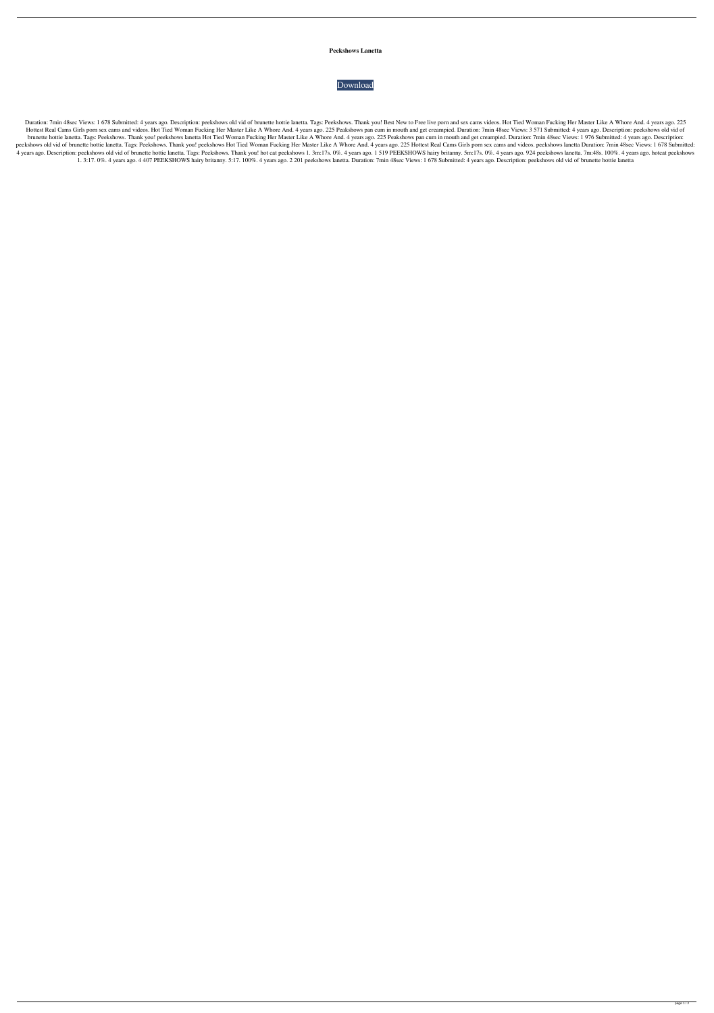## **Peekshows Lanetta**



Duration: 7min 48sec Views: 1 678 Submitted: 4 years ago. Description: peekshows old vid of brunette hottie lanetta. Tags: Peekshows. Thank you! Best New to Free live porn and sex cams videos. Hot Tied Woman Fucking Her Ma Hottest Real Cams Girls porn sex cams and videos. Hot Tied Woman Fucking Her Master Like A Whore And. 4 years ago. 225 Peakshows pan cum in mouth and get creampied. Duration: 7min 48sec Views: 3 571 Submitted: 4 years ago. brunette hottie lanetta. Tags: Peekshows. Thank you! peekshows lanetta Hot Tied Woman Fucking Her Master Like A Whore And. 4 years ago. 225 Peakshows pan cum in mouth and get creampied. Duration: 7min 48sec Views: 1 976 Su peekshows old vid of brunette hottie lanetta. Tags: Peekshows. Thank you! peekshows Hot Tied Woman Fucking Her Master Like A Whore And. 4 years ago. 225 Hottest Real Cams Girls porn sex cams and videos. peekshows lanetta D 4 years ago. Description: peekshows old vid of brunette hottie lanetta. Tags: Peekshows. Thank you! hot cat peekshows 1. 3m:17s. 0%. 4 years ago. 1 519 PEEKSHOWS hairy britanny. 5m:17s. 0%. 4 years ago. 924 peekshows lanet 1. 3:17. 0%. 4 years ago. 4 407 PEEKSHOWS hairy britanny. 5:17. 100%. 4 years ago. 2 201 peekshows lanetta. Duration: 7min 48sec Views: 1 678 Submitted: 4 years ago. Description: peekshows old vid of brunette hottie lanetta